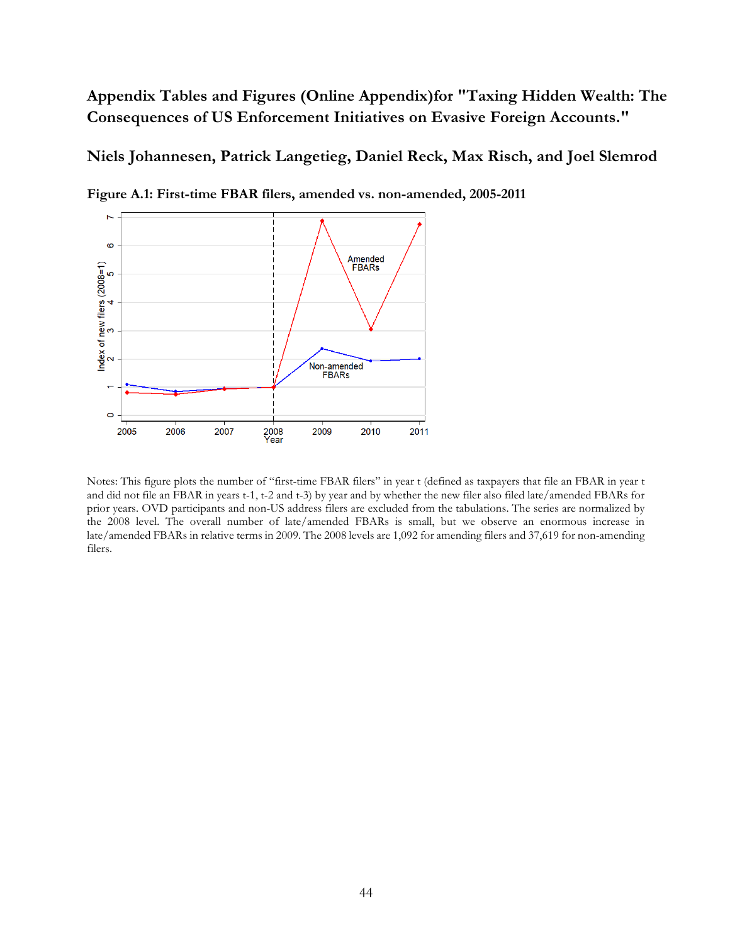**Appendix Tables and Figures (Online Appendix)for "Taxing Hidden Wealth: The Consequences of US Enforcement Initiatives on Evasive Foreign Accounts."** 

### **Niels Johannesen, Patrick Langetieg, Daniel Reck, Max Risch, and Joel Slemrod**



**Figure A.1: First-time FBAR filers, amended vs. non-amended, 2005-2011** 

Notes: This figure plots the number of "first-time FBAR filers" in year t (defined as taxpayers that file an FBAR in year t and did not file an FBAR in years t-1, t-2 and t-3) by year and by whether the new filer also filed late/amended FBARs for prior years. OVD participants and non-US address filers are excluded from the tabulations. The series are normalized by the 2008 level. The overall number of late/amended FBARs is small, but we observe an enormous increase in late/amended FBARs in relative terms in 2009. The 2008 levels are 1,092 for amending filers and 37,619 for non-amending filers.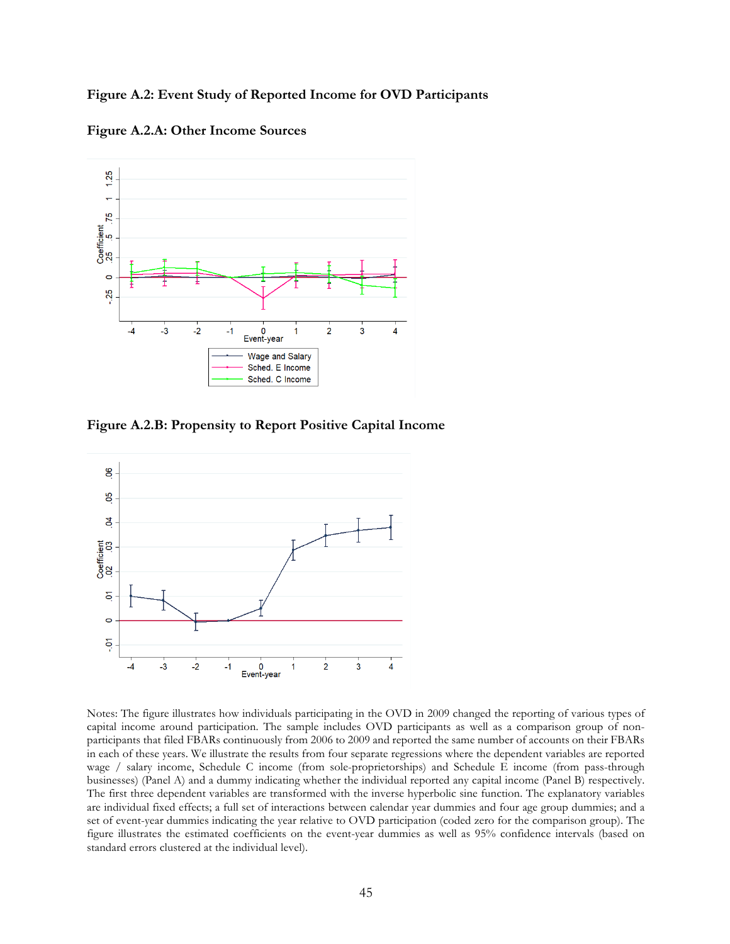**Figure A.2: Event Study of Reported Income for OVD Participants**

**Figure A.2.A: Other Income Sources**



**Figure A.2.B: Propensity to Report Positive Capital Income**



Notes: The figure illustrates how individuals participating in the OVD in 2009 changed the reporting of various types of capital income around participation. The sample includes OVD participants as well as a comparison group of nonparticipants that filed FBARs continuously from 2006 to 2009 and reported the same number of accounts on their FBARs in each of these years. We illustrate the results from four separate regressions where the dependent variables are reported wage / salary income, Schedule C income (from sole-proprietorships) and Schedule E income (from pass-through businesses) (Panel A) and a dummy indicating whether the individual reported any capital income (Panel B) respectively. The first three dependent variables are transformed with the inverse hyperbolic sine function. The explanatory variables are individual fixed effects; a full set of interactions between calendar year dummies and four age group dummies; and a set of event-year dummies indicating the year relative to OVD participation (coded zero for the comparison group). The figure illustrates the estimated coefficients on the event-year dummies as well as 95% confidence intervals (based on standard errors clustered at the individual level).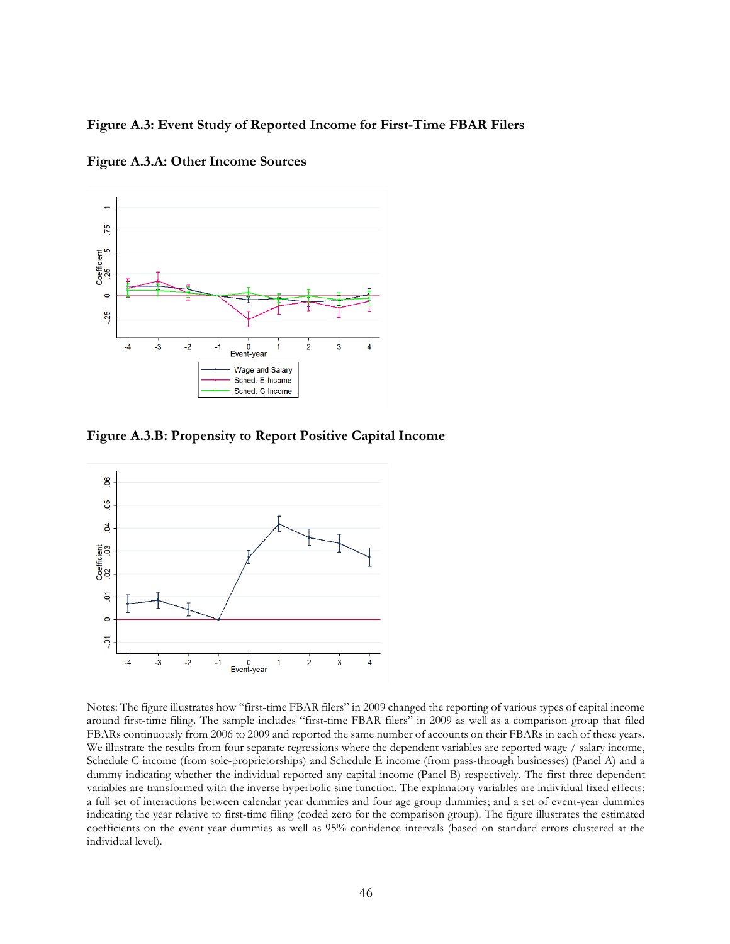#### **Figure A.3: Event Study of Reported Income for First-Time FBAR Filers**



**Figure A.3.A: Other Income Sources**

**Figure A.3.B: Propensity to Report Positive Capital Income**



Notes: The figure illustrates how "first-time FBAR filers" in 2009 changed the reporting of various types of capital income around first-time filing. The sample includes "first-time FBAR filers" in 2009 as well as a comparison group that filed FBARs continuously from 2006 to 2009 and reported the same number of accounts on their FBARs in each of these years. We illustrate the results from four separate regressions where the dependent variables are reported wage / salary income, Schedule C income (from sole-proprietorships) and Schedule E income (from pass-through businesses) (Panel A) and a dummy indicating whether the individual reported any capital income (Panel B) respectively. The first three dependent variables are transformed with the inverse hyperbolic sine function. The explanatory variables are individual fixed effects; a full set of interactions between calendar year dummies and four age group dummies; and a set of event-year dummies indicating the year relative to first-time filing (coded zero for the comparison group). The figure illustrates the estimated coefficients on the event-year dummies as well as 95% confidence intervals (based on standard errors clustered at the individual level).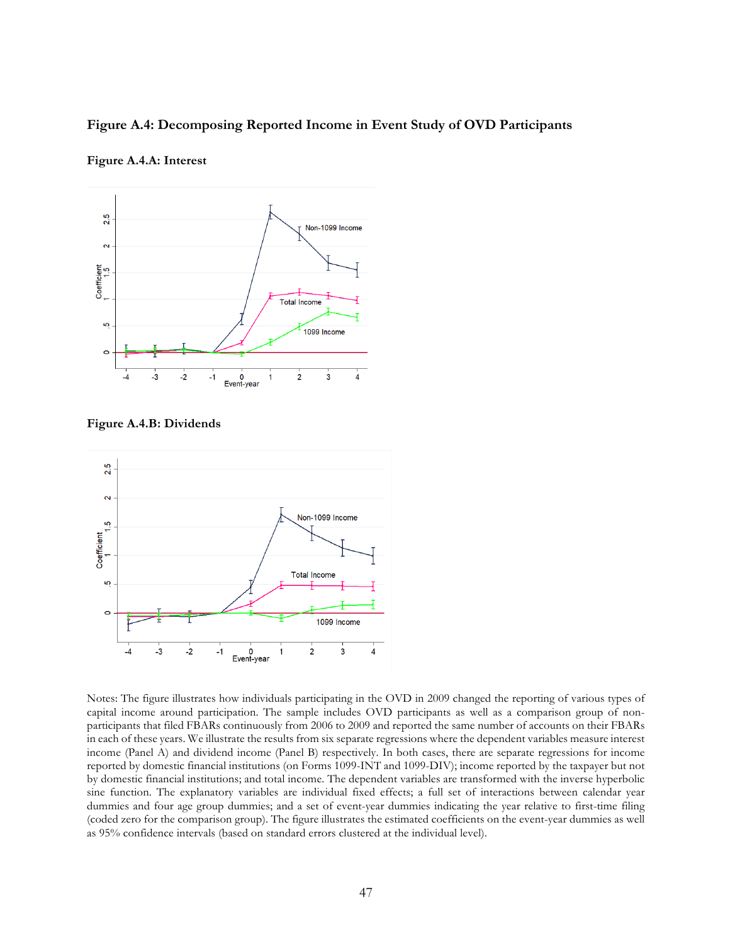#### **Figure A.4: Decomposing Reported Income in Event Study of OVD Participants**



#### **Figure A.4.A: Interest**

**Figure A.4.B: Dividends**



Notes: The figure illustrates how individuals participating in the OVD in 2009 changed the reporting of various types of capital income around participation. The sample includes OVD participants as well as a comparison group of nonparticipants that filed FBARs continuously from 2006 to 2009 and reported the same number of accounts on their FBARs in each of these years. We illustrate the results from six separate regressions where the dependent variables measure interest income (Panel A) and dividend income (Panel B) respectively. In both cases, there are separate regressions for income reported by domestic financial institutions (on Forms 1099-INT and 1099-DIV); income reported by the taxpayer but not by domestic financial institutions; and total income. The dependent variables are transformed with the inverse hyperbolic sine function. The explanatory variables are individual fixed effects; a full set of interactions between calendar year dummies and four age group dummies; and a set of event-year dummies indicating the year relative to first-time filing (coded zero for the comparison group). The figure illustrates the estimated coefficients on the event-year dummies as well as 95% confidence intervals (based on standard errors clustered at the individual level).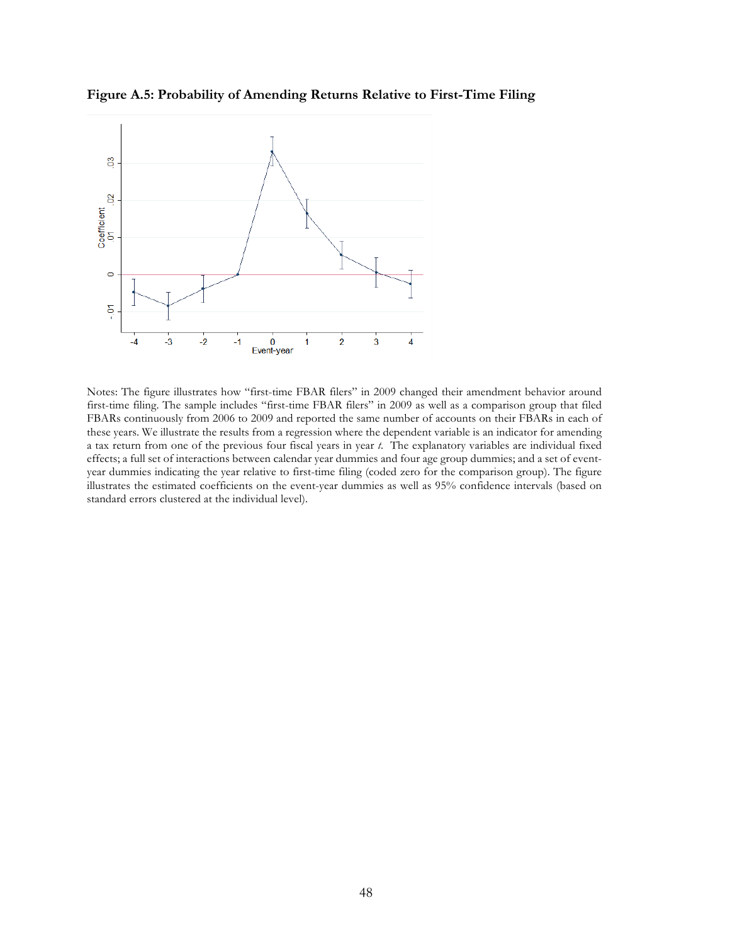

**Figure A.5: Probability of Amending Returns Relative to First-Time Filing**

Notes: The figure illustrates how "first-time FBAR filers" in 2009 changed their amendment behavior around first-time filing. The sample includes "first-time FBAR filers" in 2009 as well as a comparison group that filed FBARs continuously from 2006 to 2009 and reported the same number of accounts on their FBARs in each of these years. We illustrate the results from a regression where the dependent variable is an indicator for amending a tax return from one of the previous four fiscal years in year *t*. The explanatory variables are individual fixed effects; a full set of interactions between calendar year dummies and four age group dummies; and a set of eventyear dummies indicating the year relative to first-time filing (coded zero for the comparison group). The figure illustrates the estimated coefficients on the event-year dummies as well as 95% confidence intervals (based on standard errors clustered at the individual level).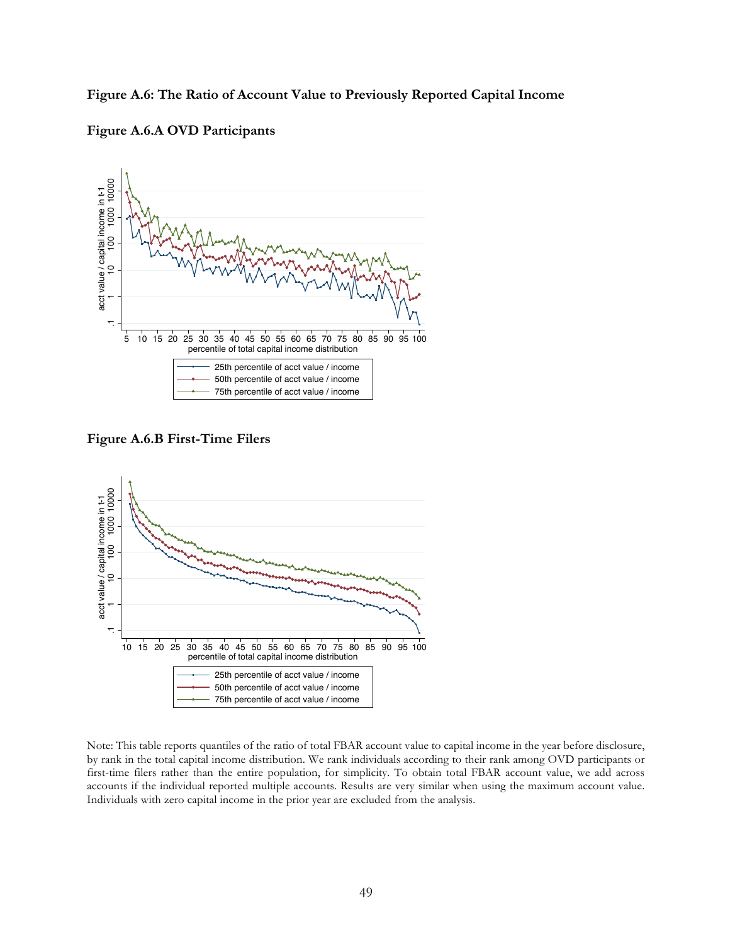**Figure A.6: The Ratio of Account Value to Previously Reported Capital Income**





**Figure A.6.B First-Time Filers**



Note: This table reports quantiles of the ratio of total FBAR account value to capital income in the year before disclosure, by rank in the total capital income distribution. We rank individuals according to their rank among OVD participants or first-time filers rather than the entire population, for simplicity. To obtain total FBAR account value, we add across accounts if the individual reported multiple accounts. Results are very similar when using the maximum account value.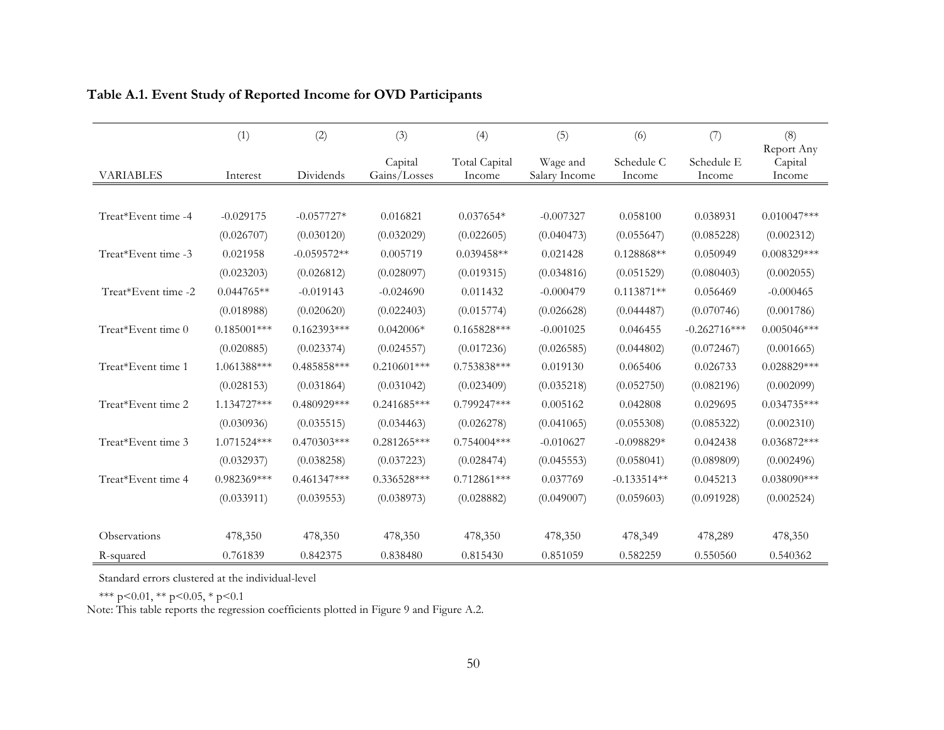|                     | (1)           | (2)           | (3)                     | (4)                            | (5)                       | (6)                  | (7)                  | (8)                             |
|---------------------|---------------|---------------|-------------------------|--------------------------------|---------------------------|----------------------|----------------------|---------------------------------|
| <b>VARIABLES</b>    | Interest      | Dividends     | Capital<br>Gains/Losses | <b>Total Capital</b><br>Income | Wage and<br>Salary Income | Schedule C<br>Income | Schedule E<br>Income | Report Any<br>Capital<br>Income |
|                     |               |               |                         |                                |                           |                      |                      |                                 |
| Treat*Event time -4 | $-0.029175$   | $-0.057727*$  | 0.016821                | $0.037654*$                    | $-0.007327$               | 0.058100             | 0.038931             | $0.010047***$                   |
|                     | (0.026707)    | (0.030120)    | (0.032029)              | (0.022605)                     | (0.040473)                | (0.055647)           | (0.085228)           | (0.002312)                      |
| Treat*Event time -3 | 0.021958      | $-0.059572**$ | 0.005719                | $0.039458**$                   | 0.021428                  | $0.128868**$         | 0.050949             | $0.008329***$                   |
|                     | (0.023203)    | (0.026812)    | (0.028097)              | (0.019315)                     | (0.034816)                | (0.051529)           | (0.080403)           | (0.002055)                      |
| Treat*Event time -2 | $0.044765**$  | $-0.019143$   | $-0.024690$             | 0.011432                       | $-0.000479$               | $0.113871**$         | 0.056469             | $-0.000465$                     |
|                     | (0.018988)    | (0.020620)    | (0.022403)              | (0.015774)                     | (0.026628)                | (0.044487)           | (0.070746)           | (0.001786)                      |
| Treat*Event time 0  | $0.185001***$ | $0.162393***$ | $0.042006*$             | $0.165828***$                  | $-0.001025$               | 0.046455             | $-0.262716***$       | $0.005046***$                   |
|                     | (0.020885)    | (0.023374)    | (0.024557)              | (0.017236)                     | (0.026585)                | (0.044802)           | (0.072467)           | (0.001665)                      |
| Treat*Event time 1  | 1.061388***   | $0.485858***$ | $0.210601***$           | $0.753838***$                  | 0.019130                  | 0.065406             | 0.026733             | $0.028829***$                   |
|                     | (0.028153)    | (0.031864)    | (0.031042)              | (0.023409)                     | (0.035218)                | (0.052750)           | (0.082196)           | (0.002099)                      |
| Treat*Event time 2  | 1.134727***   | 0.480929***   | $0.241685***$           | $0.799247***$                  | 0.005162                  | 0.042808             | 0.029695             | $0.034735***$                   |
|                     | (0.030936)    | (0.035515)    | (0.034463)              | (0.026278)                     | (0.041065)                | (0.055308)           | (0.085322)           | (0.002310)                      |
| Treat*Event time 3  | 1.071524***   | $0.470303***$ | $0.281265***$           | $0.754004***$                  | $-0.010627$               | $-0.098829*$         | 0.042438             | $0.036872***$                   |
|                     | (0.032937)    | (0.038258)    | (0.037223)              | (0.028474)                     | (0.045553)                | (0.058041)           | (0.089809)           | (0.002496)                      |
| Treat*Event time 4  | $0.982369***$ | $0.461347***$ | 0.336528***             | $0.712861***$                  | 0.037769                  | $-0.133514**$        | 0.045213             | $0.038090$ ***                  |
|                     | (0.033911)    | (0.039553)    | (0.038973)              | (0.028882)                     | (0.049007)                | (0.059603)           | (0.091928)           | (0.002524)                      |
|                     |               |               |                         |                                |                           |                      |                      |                                 |
| Observations        | 478,350       | 478,350       | 478,350                 | 478,350                        | 478,350                   | 478,349              | 478,289              | 478,350                         |
| R-squared           | 0.761839      | 0.842375      | 0.838480                | 0.815430                       | 0.851059                  | 0.582259             | 0.550560             | 0.540362                        |

# **Table A.1. Event Study of Reported Income for OVD Participants**

Standard errors clustered at the individual-level

\*\*\* p<0.01, \*\* p<0.05, \* p<0.1

Note: This table reports the regression coefficients plotted in Figure 9 and Figure A.2.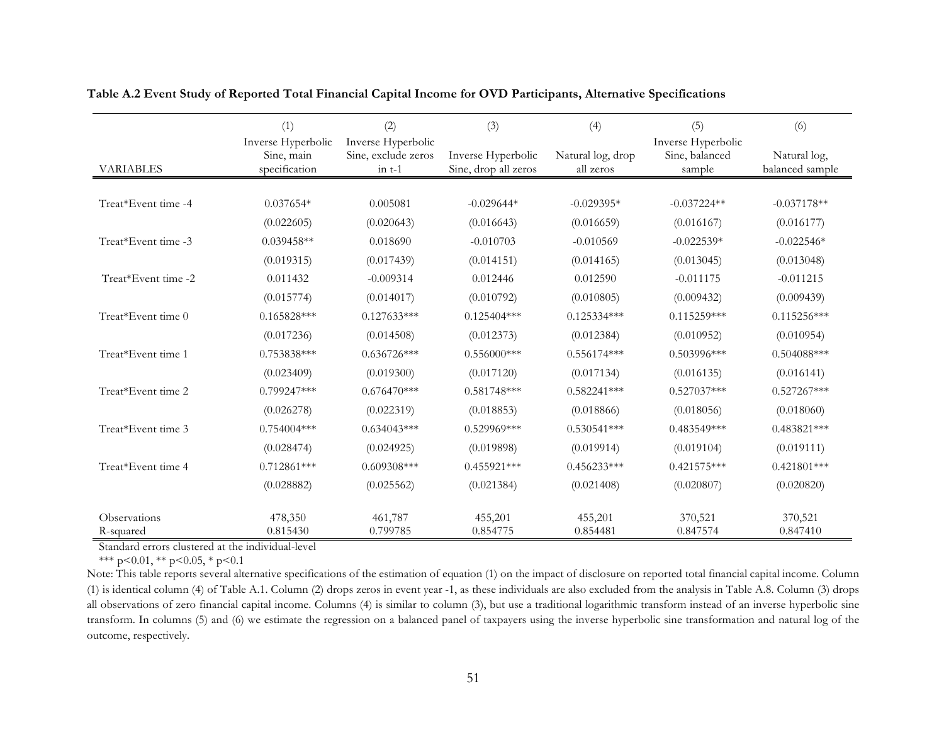|                     | (1)                                               | (2)                                                           | (3)                                        | (4)                            | (5)                                            | (6)                             |
|---------------------|---------------------------------------------------|---------------------------------------------------------------|--------------------------------------------|--------------------------------|------------------------------------------------|---------------------------------|
| <b>VARIABLES</b>    | Inverse Hyperbolic<br>Sine, main<br>specification | Inverse Hyperbolic<br>Sine, exclude zeros<br>$\text{in } t-1$ | Inverse Hyperbolic<br>Sine, drop all zeros | Natural log, drop<br>all zeros | Inverse Hyperbolic<br>Sine, balanced<br>sample | Natural log,<br>balanced sample |
|                     |                                                   |                                                               |                                            |                                |                                                |                                 |
| Treat*Event time -4 | $0.037654*$                                       | 0.005081                                                      | $-0.029644*$                               | $-0.029395*$                   | $-0.037224**$                                  | $-0.037178**$                   |
|                     | (0.022605)                                        | (0.020643)                                                    | (0.016643)                                 | (0.016659)                     | (0.016167)                                     | (0.016177)                      |
| Treat*Event time -3 | $0.039458**$                                      | 0.018690                                                      | $-0.010703$                                | $-0.010569$                    | $-0.022539*$                                   | $-0.022546*$                    |
|                     | (0.019315)                                        | (0.017439)                                                    | (0.014151)                                 | (0.014165)                     | (0.013045)                                     | (0.013048)                      |
| Treat*Event time -2 | 0.011432                                          | $-0.009314$                                                   | 0.012446                                   | 0.012590                       | $-0.011175$                                    | $-0.011215$                     |
|                     | (0.015774)                                        | (0.014017)                                                    | (0.010792)                                 | (0.010805)                     | (0.009432)                                     | (0.009439)                      |
| Treat*Event time 0  | $0.165828***$                                     | $0.127633***$                                                 | $0.125404***$                              | $0.125334***$                  | $0.115259***$                                  | $0.115256***$                   |
|                     | (0.017236)                                        | (0.014508)                                                    | (0.012373)                                 | (0.012384)                     | (0.010952)                                     | (0.010954)                      |
| Treat*Event time 1  | $0.753838***$                                     | $0.636726***$                                                 | $0.556000***$                              | $0.556174***$                  | $0.503996$ ***                                 | $0.504088***$                   |
|                     | (0.023409)                                        | (0.019300)                                                    | (0.017120)                                 | (0.017134)                     | (0.016135)                                     | (0.016141)                      |
| Treat*Event time 2  | $0.799247***$                                     | $0.676470***$                                                 | $0.581748***$                              | $0.582241***$                  | $0.527037***$                                  | $0.527267***$                   |
|                     | (0.026278)                                        | (0.022319)                                                    | (0.018853)                                 | (0.018866)                     | (0.018056)                                     | (0.018060)                      |
| Treat*Event time 3  | $0.754004***$                                     | $0.634043***$                                                 | $0.529969***$                              | $0.530541***$                  | 0.483549***                                    | $0.483821***$                   |
|                     | (0.028474)                                        | (0.024925)                                                    | (0.019898)                                 | (0.019914)                     | (0.019104)                                     | (0.019111)                      |
| Treat*Event time 4  | $0.712861***$                                     | $0.609308***$                                                 | $0.455921***$                              | $0.456233***$                  | $0.421575***$                                  | $0.421801***$                   |
|                     | (0.028882)                                        | (0.025562)                                                    | (0.021384)                                 | (0.021408)                     | (0.020807)                                     | (0.020820)                      |
| Observations        | 478,350                                           | 461,787                                                       | 455,201                                    | 455,201                        | 370,521                                        | 370,521                         |
| R-squared           | 0.815430                                          | 0.799785                                                      | 0.854775                                   | 0.854481                       | 0.847574                                       | 0.847410                        |

**Table A.2 Event Study of Reported Total Financial Capital Income for OVD Participants, Alternative Specifications**

Standard errors clustered at the individual-level

\*\*\* p<0.01, \*\* p<0.05, \* p<0.1

Note: This table reports several alternative specifications of the estimation of equation (1) on the impact of disclosure on reported total financial capital income. Column (1) is identical column (4) of Table A.1. Column (2) drops zeros in event year -1, as these individuals are also excluded from the analysis in Table A.8. Column (3) drops all observations of zero financial capital income. Columns (4) is similar to column (3), but use a traditional logarithmic transform instead of an inverse hyperbolic sine transform. In columns (5) and (6) we estimate the regression on a balanced panel of taxpayers using the inverse hyperbolic sine transformation and natural log of the outcome, respectively.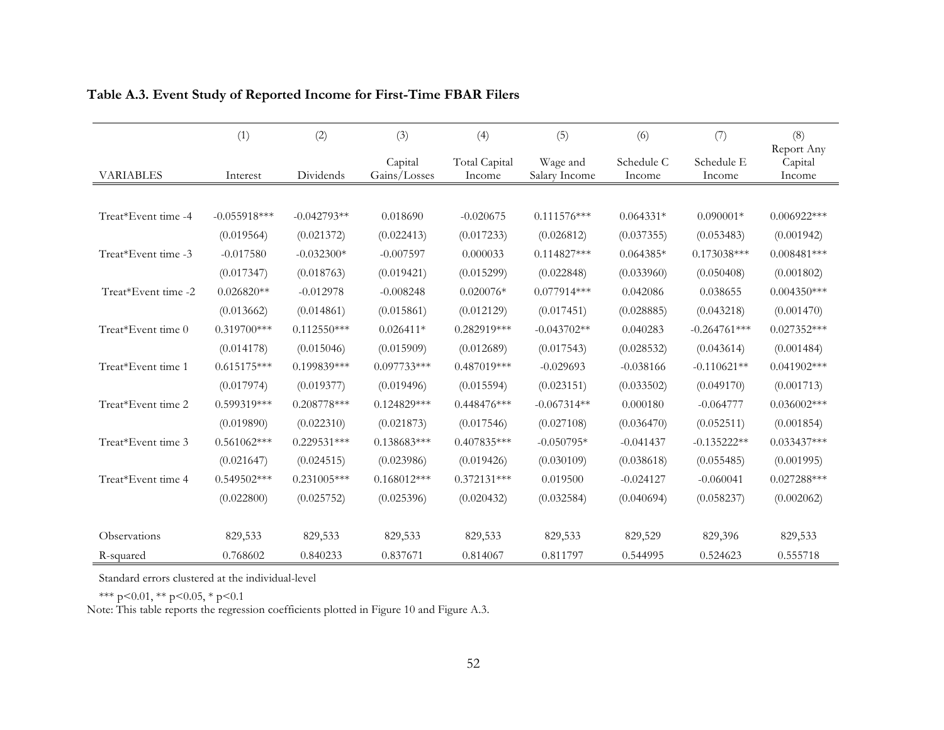|                     | (1)            | (2)           | (3)                     | (4)                     | (5)                       | (6)                  | (7)                  | (8)                             |
|---------------------|----------------|---------------|-------------------------|-------------------------|---------------------------|----------------------|----------------------|---------------------------------|
| <b>VARIABLES</b>    | Interest       | Dividends     | Capital<br>Gains/Losses | Total Capital<br>Income | Wage and<br>Salary Income | Schedule C<br>Income | Schedule E<br>Income | Report Any<br>Capital<br>Income |
|                     |                |               |                         |                         |                           |                      |                      |                                 |
| Treat*Event time -4 | $-0.055918***$ | $-0.042793**$ | 0.018690                | $-0.020675$             | $0.111576***$             | $0.064331*$          | $0.090001*$          | $0.006922***$                   |
|                     | (0.019564)     | (0.021372)    | (0.022413)              | (0.017233)              | (0.026812)                | (0.037355)           | (0.053483)           | (0.001942)                      |
| Treat*Event time -3 | $-0.017580$    | $-0.032300*$  | $-0.007597$             | 0.000033                | $0.114827***$             | $0.064385*$          | $0.173038***$        | $0.008481***$                   |
|                     | (0.017347)     | (0.018763)    | (0.019421)              | (0.015299)              | (0.022848)                | (0.033960)           | (0.050408)           | (0.001802)                      |
| Treat*Event time -2 | $0.026820**$   | $-0.012978$   | $-0.008248$             | $0.020076*$             | $0.077914***$             | 0.042086             | 0.038655             | $0.004350***$                   |
|                     | (0.013662)     | (0.014861)    | (0.015861)              | (0.012129)              | (0.017451)                | (0.028885)           | (0.043218)           | (0.001470)                      |
| Treat*Event time 0  | $0.319700***$  | $0.112550***$ | $0.026411*$             | $0.282919***$           | $-0.043702**$             | 0.040283             | $-0.264761***$       | $0.027352***$                   |
|                     | (0.014178)     | (0.015046)    | (0.015909)              | (0.012689)              | (0.017543)                | (0.028532)           | (0.043614)           | (0.001484)                      |
| Treat*Event time 1  | $0.615175***$  | $0.199839***$ | $0.097733***$           | $0.487019***$           | $-0.029693$               | $-0.038166$          | $-0.110621**$        | $0.041902***$                   |
|                     | (0.017974)     | (0.019377)    | (0.019496)              | (0.015594)              | (0.023151)                | (0.033502)           | (0.049170)           | (0.001713)                      |
| Treat*Event time 2  | 0.599319***    | $0.208778***$ | $0.124829***$           | $0.448476***$           | $-0.067314**$             | 0.000180             | $-0.064777$          | $0.036002***$                   |
|                     | (0.019890)     | (0.022310)    | (0.021873)              | (0.017546)              | (0.027108)                | (0.036470)           | (0.052511)           | (0.001854)                      |
| Treat*Event time 3  | $0.561062***$  | $0.229531***$ | $0.138683***$           | $0.407835***$           | $-0.050795*$              | $-0.041437$          | $-0.135222**$        | $0.033437***$                   |
|                     | (0.021647)     | (0.024515)    | (0.023986)              | (0.019426)              | (0.030109)                | (0.038618)           | (0.055485)           | (0.001995)                      |
| Treat*Event time 4  | $0.549502***$  | $0.231005***$ | $0.168012***$           | $0.372131***$           | 0.019500                  | $-0.024127$          | $-0.060041$          | $0.027288***$                   |
|                     | (0.022800)     | (0.025752)    | (0.025396)              | (0.020432)              | (0.032584)                | (0.040694)           | (0.058237)           | (0.002062)                      |
| Observations        | 829,533        | 829,533       | 829,533                 | 829,533                 | 829,533                   | 829,529              | 829,396              | 829,533                         |
| R-squared           | 0.768602       | 0.840233      | 0.837671                | 0.814067                | 0.811797                  | 0.544995             | 0.524623             | 0.555718                        |

### **Table A.3. Event Study of Reported Income for First-Time FBAR Filers**

Standard errors clustered at the individual-level

\*\*\* p<0.01, \*\* p<0.05, \* p<0.1

Note: This table reports the regression coefficients plotted in Figure 10 and Figure A.3.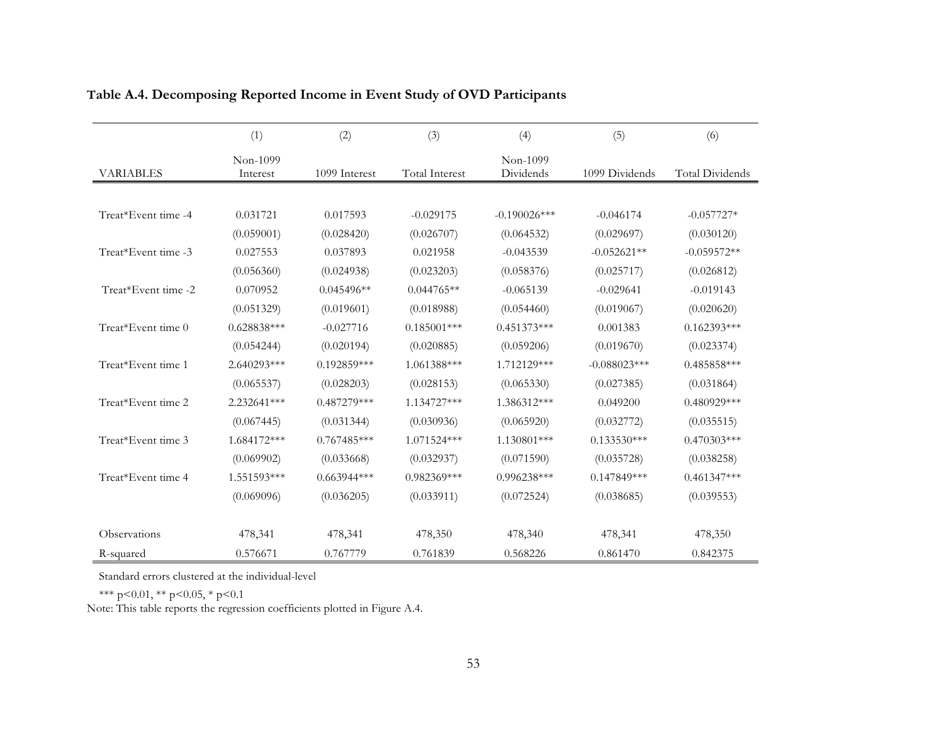|                     | (1)                  | (2)           | (3)                   | (4)                   | (5)            | (6)             |
|---------------------|----------------------|---------------|-----------------------|-----------------------|----------------|-----------------|
| <b>VARIABLES</b>    | Non-1099<br>Interest | 1099 Interest | <b>Total Interest</b> | Non-1099<br>Dividends | 1099 Dividends | Total Dividends |
|                     |                      |               |                       |                       |                |                 |
| Treat*Event time -4 | 0.031721             | 0.017593      | $-0.029175$           | $-0.190026$ ***       | $-0.046174$    | $-0.057727*$    |
|                     | (0.059001)           | (0.028420)    | (0.026707)            | (0.064532)            | (0.029697)     | (0.030120)      |
| Treat*Event time -3 | 0.027553             | 0.037893      | 0.021958              | $-0.043539$           | $-0.052621**$  | $-0.059572**$   |
|                     | (0.056360)           | (0.024938)    | (0.023203)            | (0.058376)            | (0.025717)     | (0.026812)      |
| Treat*Event time -2 | 0.070952             | $0.045496**$  | $0.044765**$          | $-0.065139$           | $-0.029641$    | $-0.019143$     |
|                     | (0.051329)           | (0.019601)    | (0.018988)            | (0.054460)            | (0.019067)     | (0.020620)      |
| Treat*Event time 0  | $0.628838***$        | $-0.027716$   | $0.185001***$         | $0.451373***$         | 0.001383       | $0.162393***$   |
|                     | (0.054244)           | (0.020194)    | (0.020885)            | (0.059206)            | (0.019670)     | (0.023374)      |
| Treat*Event time 1  | 2.640293***          | $0.192859***$ | 1.061388***           | 1.712129***           | $-0.088023***$ | $0.485858***$   |
|                     | (0.065537)           | (0.028203)    | (0.028153)            | (0.065330)            | (0.027385)     | (0.031864)      |
| Treat*Event time 2  | 2.232641***          | $0.487279***$ | 1.134727***           | 1.386312***           | 0.049200       | $0.480929***$   |
|                     | (0.067445)           | (0.031344)    | (0.030936)            | (0.065920)            | (0.032772)     | (0.035515)      |
| Treat*Event time 3  | 1.684172***          | $0.767485***$ | 1.071524***           | 1.130801***           | $0.133530***$  | $0.470303***$   |
|                     | (0.069902)           | (0.033668)    | (0.032937)            | (0.071590)            | (0.035728)     | (0.038258)      |
| Treat*Event time 4  | 1.551593***          | $0.663944***$ | $0.982369***$         | $0.996238***$         | $0.147849***$  | $0.461347***$   |
|                     | (0.069096)           | (0.036205)    | (0.033911)            | (0.072524)            | (0.038685)     | (0.039553)      |
|                     |                      |               |                       |                       |                |                 |
| Observations        | 478,341              | 478,341       | 478,350               | 478,340               | 478,341        | 478,350         |
| R-squared           | 0.576671             | 0.767779      | 0.761839              | 0.568226              | 0.861470       | 0.842375        |

# **Table A.4. Decomposing Reported Income in Event Study of OVD Participants**

Standard errors clustered at the individual-level

\*\*\* p<0.01, \*\* p<0.05, \* p<0.1

Note: This table reports the regression coefficients plotted in Figure A.4.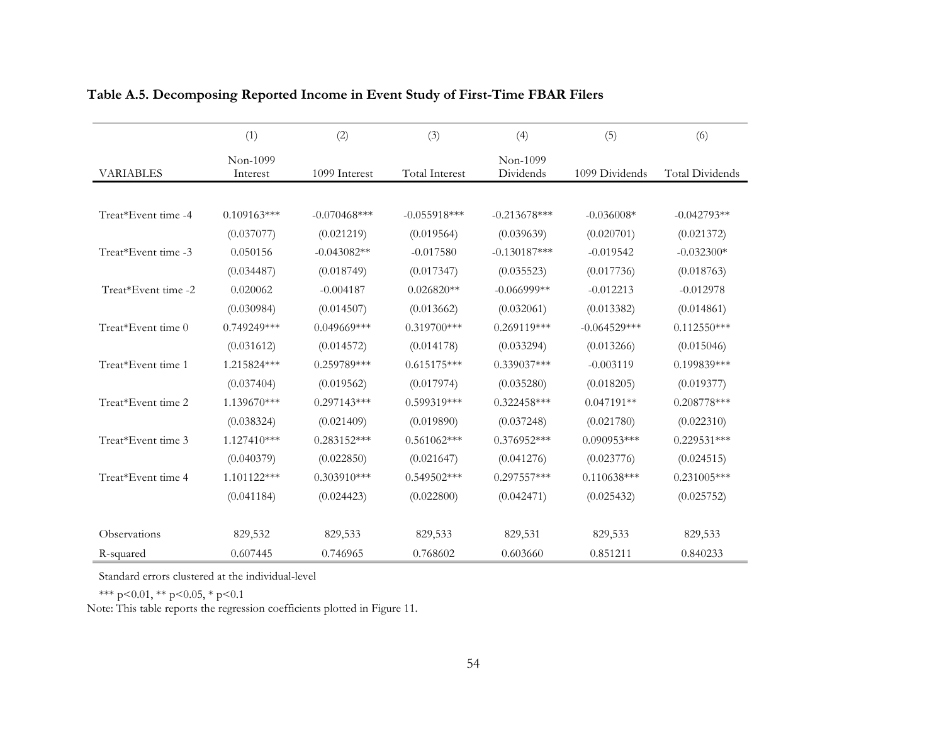|                     | (1)                  | (2)            | (3)                   | (4)                   | (5)            | (6)                    |
|---------------------|----------------------|----------------|-----------------------|-----------------------|----------------|------------------------|
| <b>VARIABLES</b>    | Non-1099<br>Interest | 1099 Interest  | <b>Total Interest</b> | Non-1099<br>Dividends | 1099 Dividends | <b>Total Dividends</b> |
|                     |                      |                |                       |                       |                |                        |
| Treat*Event time -4 | $0.109163***$        | $-0.070468***$ | $-0.055918***$        | $-0.213678***$        | $-0.036008*$   | $-0.042793**$          |
|                     | (0.037077)           | (0.021219)     | (0.019564)            | (0.039639)            | (0.020701)     | (0.021372)             |
| Treat*Event time -3 | 0.050156             | $-0.043082**$  | $-0.017580$           | $-0.130187***$        | $-0.019542$    | $-0.032300*$           |
|                     | (0.034487)           | (0.018749)     | (0.017347)            | (0.035523)            | (0.017736)     | (0.018763)             |
| Treat*Event time -2 | 0.020062             | $-0.004187$    | $0.026820**$          | $-0.066999**$         | $-0.012213$    | $-0.012978$            |
|                     | (0.030984)           | (0.014507)     | (0.013662)            | (0.032061)            | (0.013382)     | (0.014861)             |
| Treat*Event time 0  | $0.749249***$        | $0.049669***$  | $0.319700$ ***        | $0.269119***$         | $-0.064529***$ | $0.112550***$          |
|                     | (0.031612)           | (0.014572)     | (0.014178)            | (0.033294)            | (0.013266)     | (0.015046)             |
| Treat*Event time 1  | 1.215824***          | $0.259789***$  | $0.615175***$         | $0.339037***$         | $-0.003119$    | $0.199839***$          |
|                     | (0.037404)           | (0.019562)     | (0.017974)            | (0.035280)            | (0.018205)     | (0.019377)             |
| Treat*Event time 2  | 1.139670***          | $0.297143***$  | $0.599319***$         | $0.322458***$         | $0.047191**$   | 0.208778***            |
|                     | (0.038324)           | (0.021409)     | (0.019890)            | (0.037248)            | (0.021780)     | (0.022310)             |
| Treat*Event time 3  | 1.127410***          | $0.283152***$  | $0.561062***$         | $0.376952***$         | $0.090953***$  | $0.229531***$          |
|                     | (0.040379)           | (0.022850)     | (0.021647)            | (0.041276)            | (0.023776)     | (0.024515)             |
| Treat*Event time 4  | 1.101122***          | $0.303910***$  | $0.549502***$         | $0.297557***$         | $0.110638***$  | $0.231005***$          |
|                     | (0.041184)           | (0.024423)     | (0.022800)            | (0.042471)            | (0.025432)     | (0.025752)             |
|                     |                      |                |                       |                       |                |                        |
| Observations        | 829,532              | 829,533        | 829,533               | 829,531               | 829,533        | 829,533                |
| R-squared           | 0.607445             | 0.746965       | 0.768602              | 0.603660              | 0.851211       | 0.840233               |

### **Table A.5. Decomposing Reported Income in Event Study of First-Time FBAR Filers**

Standard errors clustered at the individual-level

\*\*\* p<0.01, \*\* p<0.05, \* p<0.1

Note: This table reports the regression coefficients plotted in Figure 11.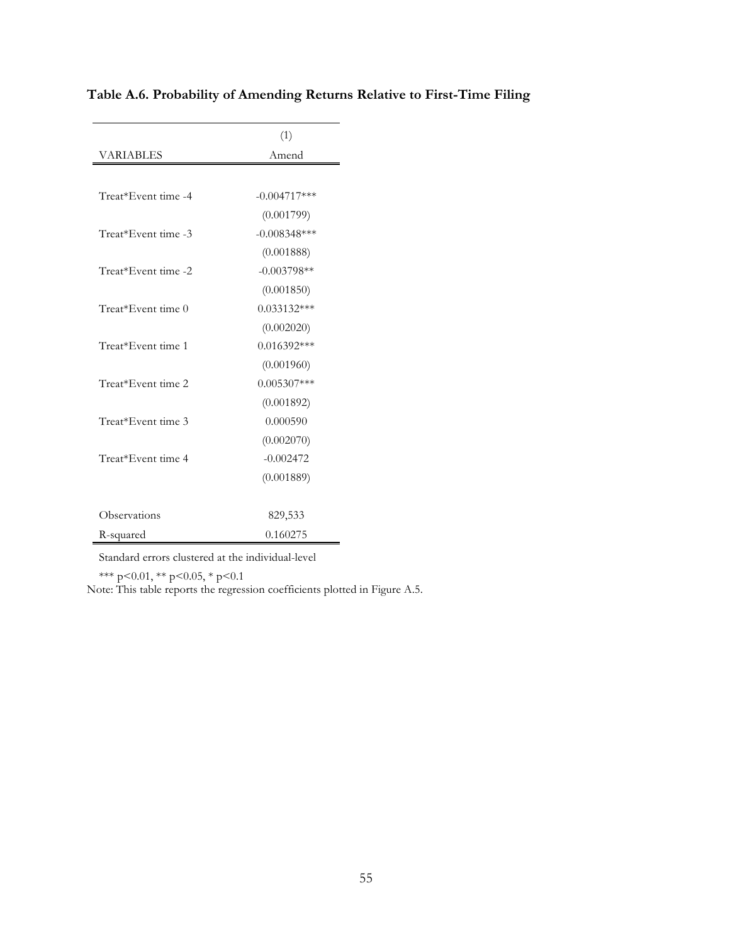|                     | (1)            |
|---------------------|----------------|
| <b>VARIABLES</b>    | Amend          |
|                     |                |
| Treat*Event time -4 | $-0.004717***$ |
|                     | (0.001799)     |
| Treat*Event time -3 | $-0.008348***$ |
|                     | (0.001888)     |
| Treat*Event time -2 | $-0.003798**$  |
|                     | (0.001850)     |
| Treat*Event time 0  | $0.033132***$  |
|                     | (0.002020)     |
| Treat*Event time 1  | $0.016392***$  |
|                     | (0.001960)     |
| Treat*Event time 2  | $0.005307***$  |
|                     | (0.001892)     |
| Treat*Event time 3  | 0.000590       |
|                     | (0.002070)     |
| Treat*Event time 4  | $-0.002472$    |
|                     | (0.001889)     |
|                     |                |
| Observations        | 829,533        |
| R-squared           | 0.160275       |

# **Table A.6. Probability of Amending Returns Relative to First-Time Filing**

Standard errors clustered at the individual-level

\*\*\* p<0.01, \*\* p<0.05, \* p<0.1

Note: This table reports the regression coefficients plotted in Figure A.5.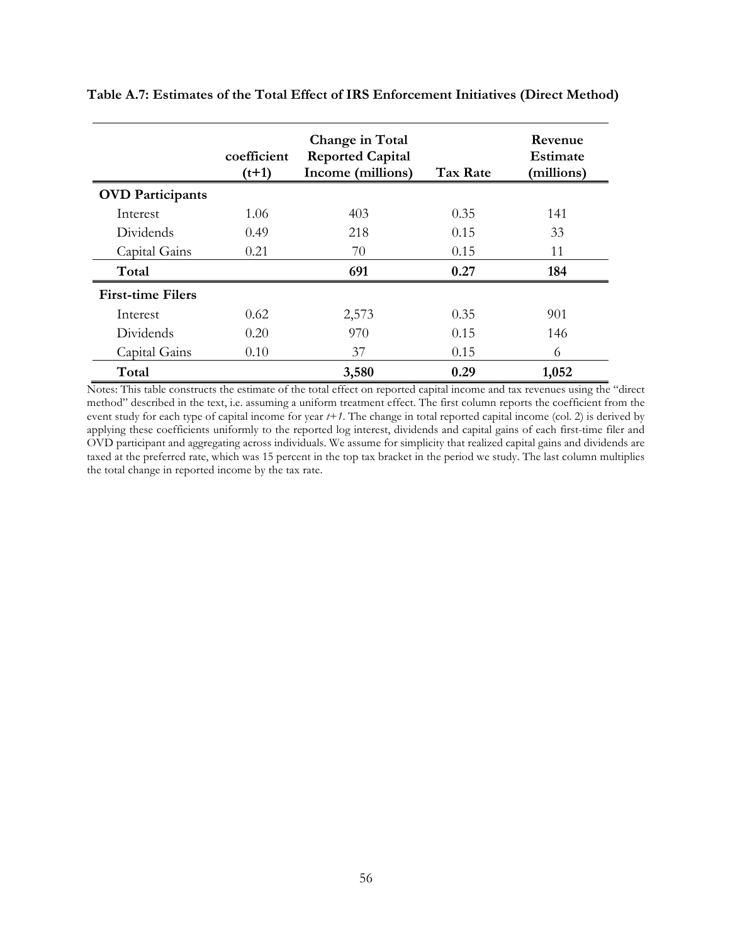|                          | coefficient<br>$(t+1)$ | Change in Total<br><b>Reported Capital</b><br>Income (millions) | <b>Tax Rate</b> | Revenue<br>Estimate<br>(millions) |
|--------------------------|------------------------|-----------------------------------------------------------------|-----------------|-----------------------------------|
| <b>OVD</b> Participants  |                        |                                                                 |                 |                                   |
| Interest                 | 1.06                   | 403                                                             | 0.35            | 141                               |
| Dividends                | 0.49                   | 218                                                             | 0.15            | 33                                |
| Capital Gains            | 0.21                   | 70                                                              | 0.15            | 11                                |
| Total                    |                        | 691                                                             | 0.27            | 184                               |
| <b>First-time Filers</b> |                        |                                                                 |                 |                                   |
| Interest                 | 0.62                   | 2,573                                                           | 0.35            | 901                               |
| Dividends                | 0.20                   | 970                                                             | 0.15            | 146                               |
| Capital Gains            | 0.10                   | 37                                                              | 0.15            | 6                                 |
| Total                    |                        | 3,580                                                           | 0.29            | 1,052                             |

**Table A.7: Estimates of the Total Effect of IRS Enforcement Initiatives (Direct Method)**

Notes: This table constructs the estimate of the total effect on reported capital income and tax revenues using the "direct method" described in the text, i.e. assuming a uniform treatment effect. The first column reports the coefficient from the event study for each type of capital income for year *t+1*. The change in total reported capital income (col. 2) is derived by applying these coefficients uniformly to the reported log interest, dividends and capital gains of each first-time filer and OVD participant and aggregating across individuals. We assume for simplicity that realized capital gains and dividends are taxed at the preferred rate, which was 15 percent in the top tax bracket in the period we study. The last column multiplies the total change in reported income by the tax rate.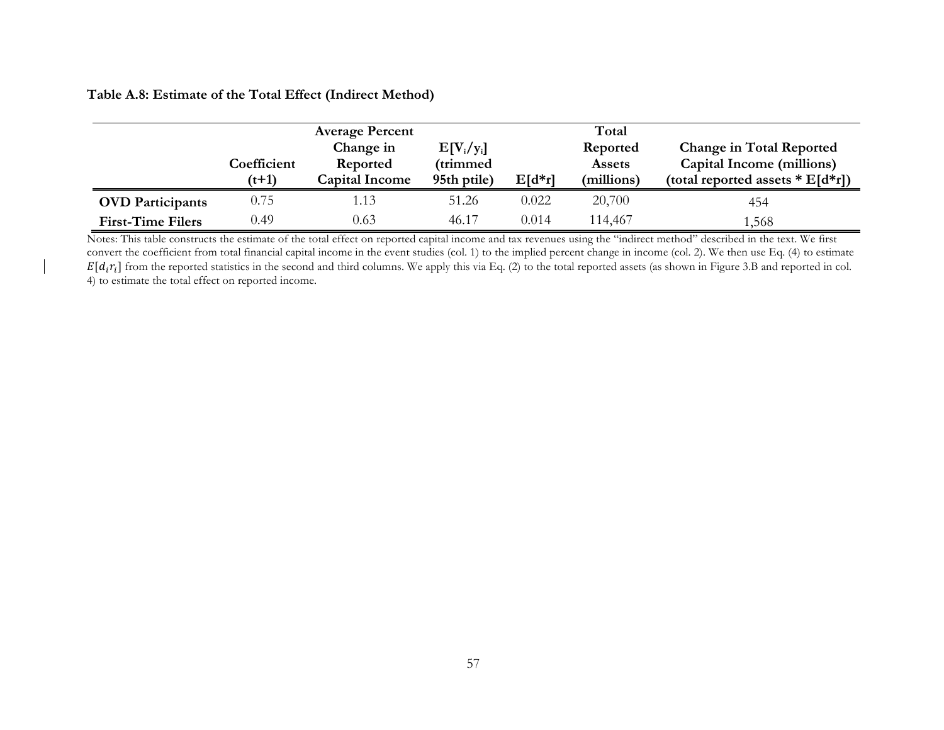### **Table A.8: Estimate of the Total Effect (Indirect Method)**

|                          |                        | <b>Average Percent</b>                         |                                         |          | Total                                   |                                                                                                   |
|--------------------------|------------------------|------------------------------------------------|-----------------------------------------|----------|-----------------------------------------|---------------------------------------------------------------------------------------------------|
|                          | Coefficient<br>$(t+1)$ | Change in<br>Reported<br><b>Capital Income</b> | $E[V_i/y_i]$<br>(trimmed<br>95th ptile) | $E[d*r]$ | Reported<br><b>Assets</b><br>(millions) | <b>Change in Total Reported</b><br>Capital Income (millions)<br>(total reported assets $E[d*r]$ ) |
| <b>OVD</b> Participants  | 0.75                   | 1.13                                           | 51.26                                   | 0.022    | 20,700                                  | 454                                                                                               |
| <b>First-Time Filers</b> | 0.49                   | 0.63                                           | 46.17                                   | 0.014    | 114,467                                 | 1,568                                                                                             |

Notes: This table constructs the estimate of the total effect on reported capital income and tax revenues using the "indirect method" described in the text. We first convert the coefficient from total financial capital income in the event studies (col. 1) to the implied percent change in income (col. 2). We then use Eq. (4) to estimate  $E[d_i r_i]$  from the reported statistics in the second and third columns. We apply this via Eq. (2) to the total reported assets (as shown in Figure 3.B and reported in col. 4) to estimate the total effect on reported income.